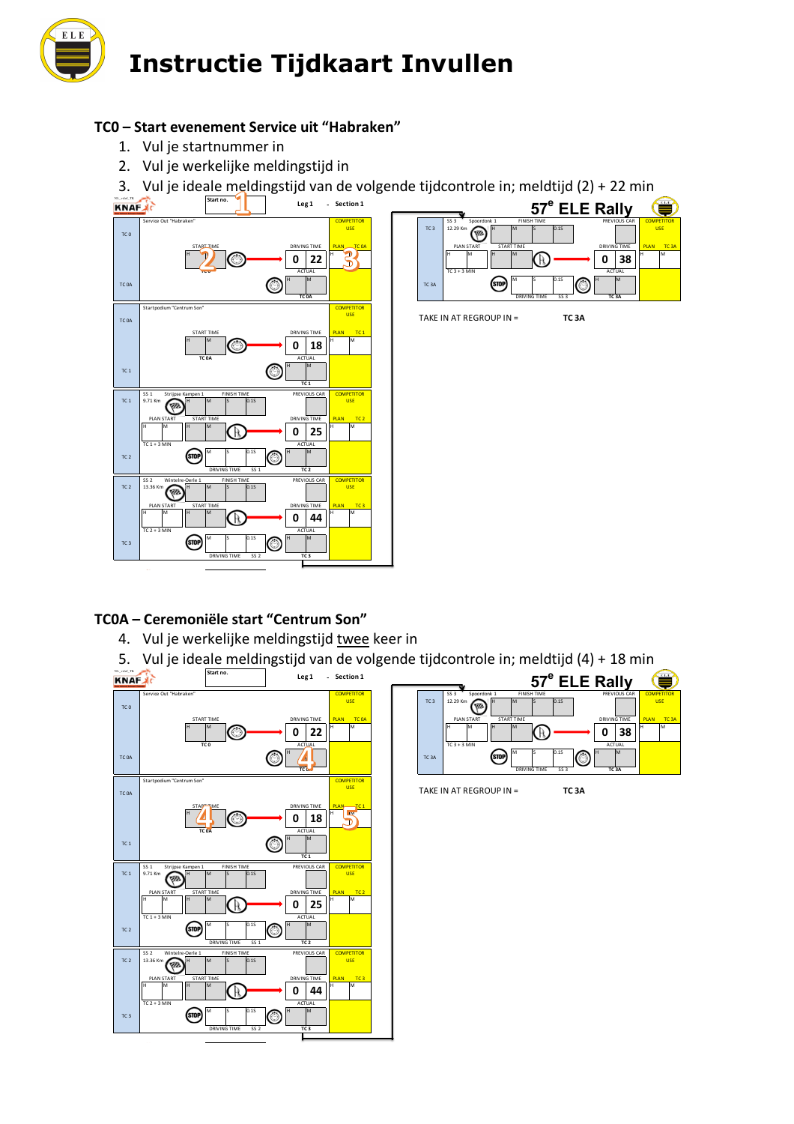

### **TC0 – Start evenement Service uit "Habraken"**

- 1. Vul je startnummer in
- 2. Vul je werkelijke meldingstijd in

3. Vul je ideale meldingstijd van de volgende tijdcontrole in; meldtijd (2) + 22 min





### **TC0A – Ceremoniële start "Centrum Son"**

- 4. Vul je werkelijke meldingstijd twee keer in
- 5. Vul je ideale meldingstijd van de volgende tijdcontrole in; meldtijd (4) + 18 min



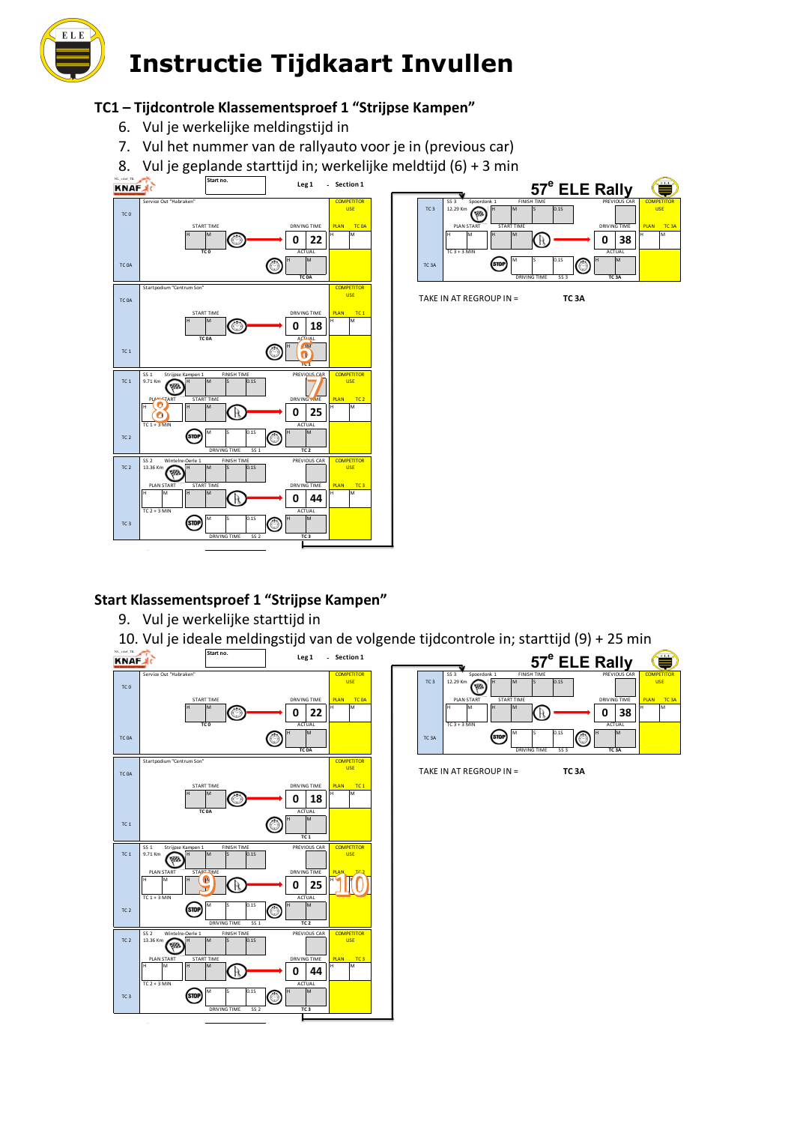

# **TC1 – Tijdcontrole Klassementsproef 1 "Strijpse Kampen"**

- 6. Vul je werkelijke meldingstijd in
- 7. Vul het nummer van de rallyauto voor je in (previous car)
- 8. Vul je geplande starttijd in; werkelijke meldtijd (6) + 3 min





**TC 3A** ACTUAL **COMPETITOR** 

USE

## **Start Klassementsproef 1 "Strijpse Kampen"**

9. Vul je werkelijke starttijd in

10. Vul je ideale meldingstijd van de volgende tijdcontrole in; starttijd (9) + 25 min